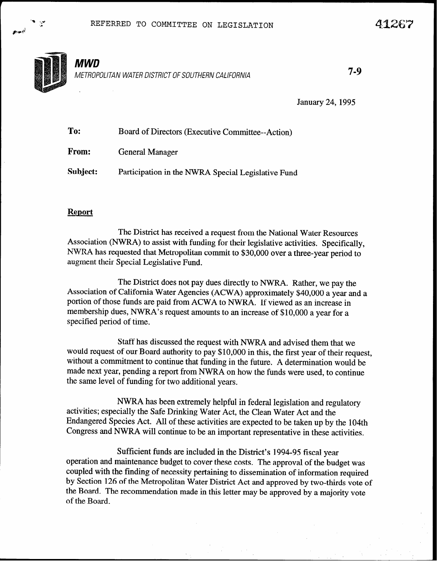

"I -,\* c

ps&

January 24,1995

| To:      | Board of Directors (Executive Committee--Action)   |
|----------|----------------------------------------------------|
| From:    | <b>General Manager</b>                             |
| Subject: | Participation in the NWRA Special Legislative Fund |

## Report

The District has received a request from the National Water Resources Association (NWRA) to assist with funding for their legislative activities. Specifically, NWRA has requested that Metropolitan commit to \$30,000 over a three-year period to augment their Special Legislative Fund.

The District does not pay dues directly to NWRA. Rather, we pay the Association of California Water Agencies (ACWA) approximately \$40,000 a year and a portion of those funds are paid from ACWA to NWRA. If viewed as an increase in membership dues, NWRA's request amounts to an increase of \$10,000 a year for a specified period of time.

Staff has discussed the request with NWRA and advised them that we would request of our Board authority to pay \$10,000 in this, the first year of their request, without a commitment to continue that funding in the future. A determination would be made next year, pending a report from NWRA on how the funds were used, to continue the same level of funding for two additional years.

NWRA has been extremely helpful in federal legislation and regulatory activities; especially the Safe Drinking Water Act, the Clean Water Act and the Endangered Species Act. All of these activities are expected to be taken up by the 104th Congress and NWRA will continue to be an important representative in these activities.

Sufficient funds are included in the District's 1994-95 fiscal year operation and maintenance budget to cover these costs. The approval of the budget was coupled with the finding of necessity pertaining to dissemination of information required by Section 126 of the Metropolitan Water District Act and approved by two-thirds vote of the Board. The recommendation made in this letter may be approved by a majority vote of the Board.